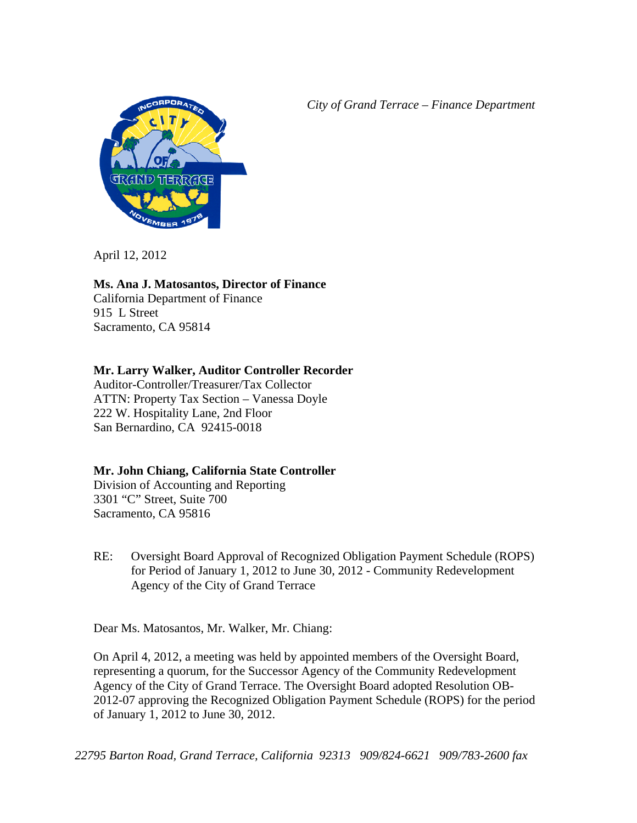*City of Grand Terrace – Finance Department* 



April 12, 2012

**Ms. Ana J. Matosantos, Director of Finance**  California Department of Finance 915 L Street Sacramento, CA 95814

## **Mr. Larry Walker, Auditor Controller Recorder**

Auditor-Controller/Treasurer/Tax Collector ATTN: Property Tax Section – Vanessa Doyle 222 W. Hospitality Lane, 2nd Floor San Bernardino, CA 92415-0018

## **Mr. John Chiang, California State Controller**

Division of Accounting and Reporting 3301 "C" Street, Suite 700 Sacramento, CA 95816

RE: Oversight Board Approval of Recognized Obligation Payment Schedule (ROPS) for Period of January 1, 2012 to June 30, 2012 - Community Redevelopment Agency of the City of Grand Terrace

Dear Ms. Matosantos, Mr. Walker, Mr. Chiang:

On April 4, 2012, a meeting was held by appointed members of the Oversight Board, representing a quorum, for the Successor Agency of the Community Redevelopment Agency of the City of Grand Terrace. The Oversight Board adopted Resolution OB-2012-07 approving the Recognized Obligation Payment Schedule (ROPS) for the period of January 1, 2012 to June 30, 2012.

*22795 Barton Road, Grand Terrace, California 92313 909/824-6621 909/783-2600 fax*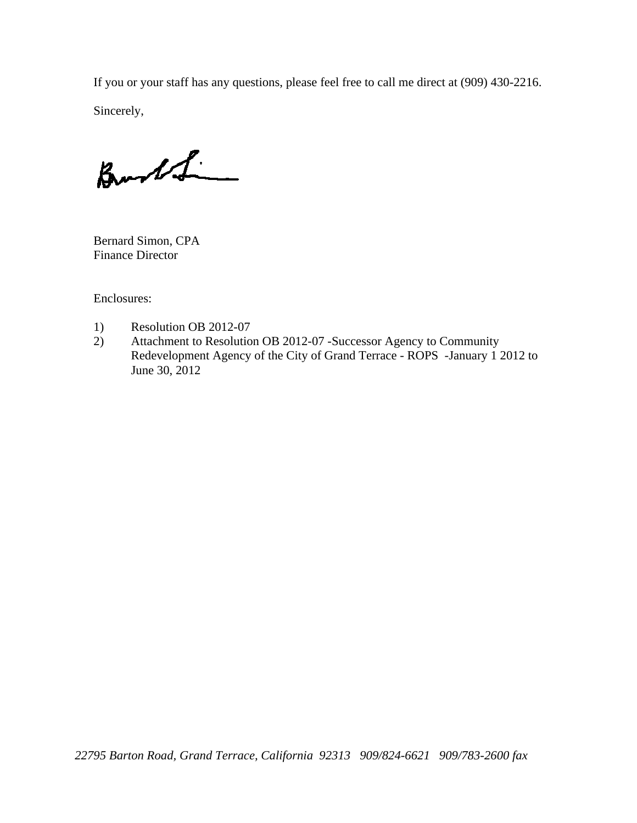If you or your staff has any questions, please feel free to call me direct at (909) 430-2216. Sincerely,

Brushting

Bernard Simon, CPA Finance Director

Enclosures:

- 1) Resolution OB 2012-07
- 2) Attachment to Resolution OB 2012-07 -Successor Agency to Community Redevelopment Agency of the City of Grand Terrace - ROPS -January 1 2012 to June 30, 2012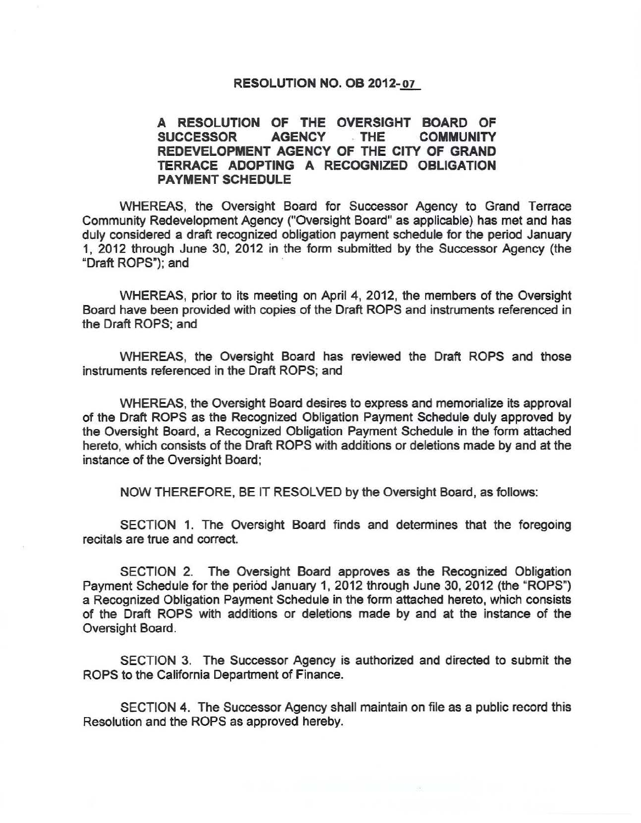#### RESOLUTION NO. OB 2012-07

### A RESOLUTION Of THE OVERSIGHT BOARD Of SUCCESSOR AGENCY THE COMMUNITY REDEVELOPMENT AGENCY Of THE CITY Of GRAND TERRACE ADOPTING A RECOGNIZED OBLIGATION PAYMENT SCHEDULE

WHEREAS. the Oversight Board for Successor Agency to Grand Terrace Community Redevelopment Agency ("Oversight Board" as applicable) has met and has duly considered a draft recognized obligation payment schedule for the period January 1. 2012 through June 30. 2012 in the form submitted by the Successor Agency (the "Draft ROPS"); and

WHEREAS, prior to its meeting on April 4, 2012, the members of the Oversight Board have been provided with copies of the Draft ROPS and instruments referenced in the Draft ROPS; and

WHEREAS, the Oversight Board has reviewed the Draft ROPS and those instruments referenced in the Draft ROPS; and

WHEREAS, the Oversight Board desires to express and memorialize its approval of the Draft ROPS as the Recognized Obligation Payment Schedule duly approved by the Oversight Board, a Recognized Obligation Payment Schedule in the form attached hereto, which consists of the Draft ROPS with addrtions or deletions made by and at the instance of the Oversight Board;

NOW THEREFORE. BE IT RESOLVED by the Oversight Board, as follows:

SECTION 1. The Oversight Board finds and determines that the foregoing recitals are true and correct.

SECTION 2. The Oversight Board approves as the Recognized Obligation Payment Schedule for the period January 1, 2012 through June 30, 2012 (the "ROPS") a Recognized Obligation Payment Schedule in the form attached hereto, which consists of the Draft ROPS with additions or deletions made by and at the instance of the Oversight Board.

SECTION 3. The Successor Agency is authorized and directed to submit the ROPS to the California Department of finance.

SECTION 4. The Successor Agency shall maintain on file as a public record this Resolution and the ROPS as approved hereby.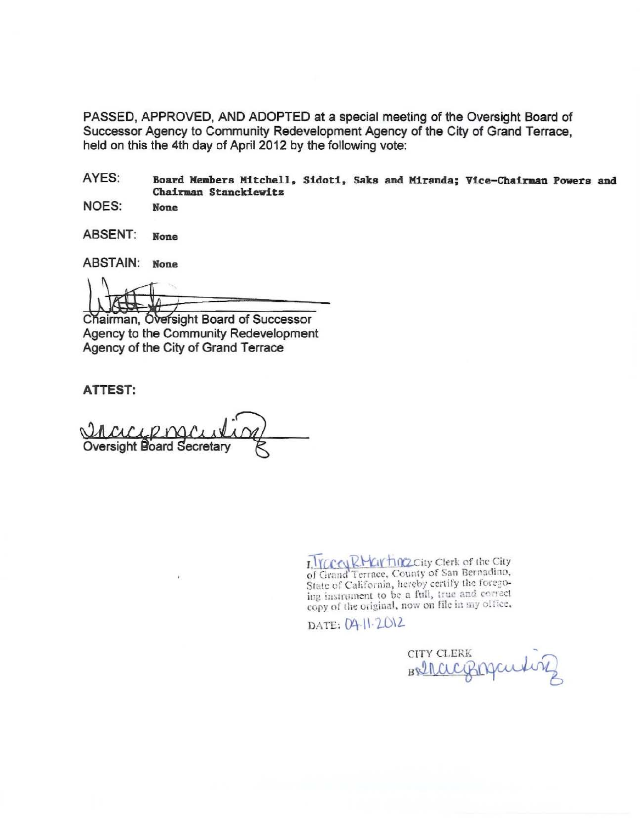PASSED, APPROVED, AND ADOPTED at a special meeting of the Oversight Board of Successor Agency to Community Redevelopment Agency of the City of Grand Terrace. held on this the 4th day of April 2012 by the following vote:

AYES: Board Members Mitchell, Sidoti, Saks and Miranda; Vice-Chairman Powers and Chairman Stanckiewitz

NOFS: **None** 

ABSENT: **None** 

**ABSTAIN: None** 

Chairman, Oversight Board of Successor Agency to the Community Redevelopment Agency of the City of Grand Terrace

**ATTEST:** 

ucepna Oversight Board Secretary

T. VCCC RH CIT TIME City Clerk of the City<br>of Grand Terrace, County of San Bernadino, State of California, hereby certify the foregoing instrument to be a full, true and correct copy of the original, now on file in my office,

DATE: 04-11-2012

**CITY CLERK** BRINCICROpartin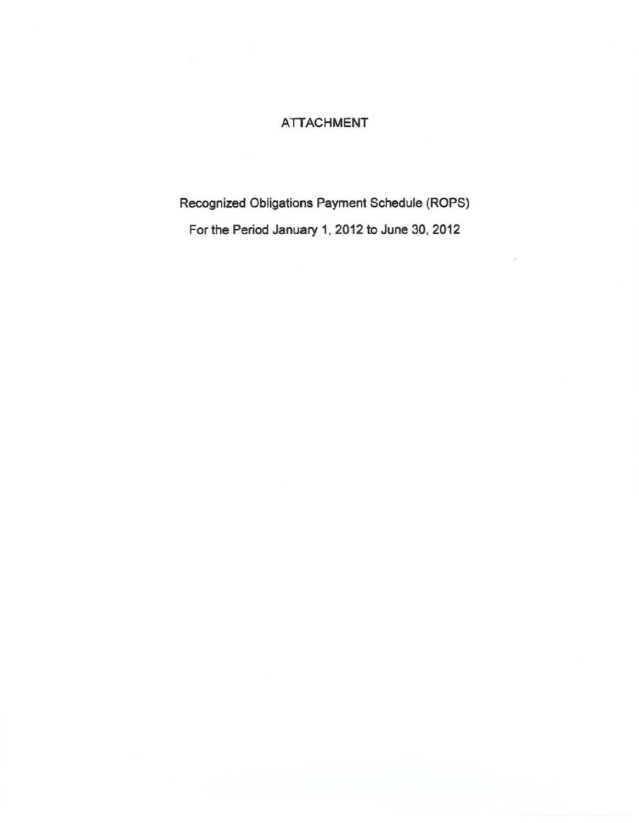# **ATTACHMENT**

Recognized Obligations Payment Schedule (ROPS)

For the Period January 1, 2012 to June 30, 2012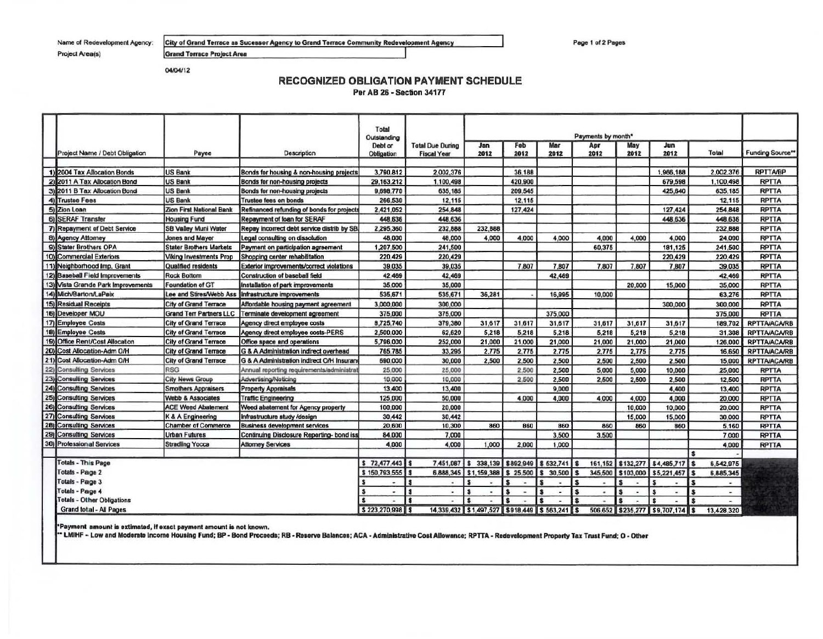Name of Redevelopment Agency:

Project Area(s)

City of Grand Terrace as Sucessor Agency to Grand Terrace Community Redevelopment Agency Grand Terrace Project Area

04/04/12

#### **RECOGNIZED OBLIGATION PAYMENT SCHEDULE** Per AB 26 - Section 34177

|                                |                                    | Payee                           | Description                                 | Total<br>Outstanding<br>Debt or<br>Obligation | <b>Total Due During</b><br><b>Fiscal Year</b> | Payments by month*                            |               |                |             |                     |                               |                               |                     |
|--------------------------------|------------------------------------|---------------------------------|---------------------------------------------|-----------------------------------------------|-----------------------------------------------|-----------------------------------------------|---------------|----------------|-------------|---------------------|-------------------------------|-------------------------------|---------------------|
| Project Name / Debt Obligation | Jan<br>2012                        |                                 |                                             |                                               |                                               | Feb<br>2012                                   | Mar<br>2012   | Apr<br>2012    | May<br>2012 | Jun<br>2012         | <b>Total</b>                  | Funding Source**              |                     |
| $\mathbf{1}$                   | 2004 Tax Allocation Bonds          | <b>US Bank</b>                  | Bonds for housing & non-housing projects    | 3,790,812                                     | 2,002,376                                     |                                               | 36,188        |                |             |                     | 1,966,188                     | 2,002,376                     | <b>RPTTA/BP</b>     |
|                                | 2) 2011 A Tax Allocation Bond      | <b>US Bank</b>                  | Bonds for non-housing projects              | 29.163.212                                    | 1,100,498                                     |                                               | 420,900       |                |             |                     | 679,598                       | 1,100,498                     | <b>RPTTA</b>        |
| 3)                             | 2011 B Tax Allocation Bond         | <b>US Bank</b>                  | Bonds for non-housing projects              | 9,698,770                                     | 635,185                                       |                                               | 209,545       |                |             |                     | 425,640                       | 635.185                       | <b>RPTTA</b>        |
| 41                             | <b>Trustee Fees</b>                | <b>US Bank</b>                  | <b>Trustee fees on bonds</b>                | 266,530                                       | 12,115                                        |                                               | 12,115        |                |             |                     |                               | 12,115                        | <b>RPTTA</b>        |
|                                | 5) Zion Loan                       | <b>Zion First National Bank</b> | Refinanced refunding of bonds for project   | 2,421,052                                     | 254,848                                       |                                               | 127,424       |                |             |                     | 127,424                       | 254.848                       | <b>RPTTA</b>        |
| 61                             | <b>SERAF Transfer</b>              | <b>Housing Fund</b>             | Repayment of loan for SERAF                 | 448,636                                       | 448,636                                       |                                               |               |                |             |                     | 448,636                       | 448,636                       | <b>RPTTA</b>        |
| $\overline{7}$                 | <b>Repayment of Debt Service</b>   | <b>SB Valley Muni Water</b>     | Repay incorrect debt service distrib by SB. | 2,295,360                                     | 232,888                                       | 232,888                                       |               |                |             |                     |                               | 232,888                       | <b>RPTTA</b>        |
|                                | 8) Agency Attorney                 | <b>Jones and Mayer</b>          | Legal consulting on dissolution             | 48,000                                        | 48,000                                        | 4,000                                         | 4,000         | 4.000          | 4,000       | 4.000               | 4.000                         | 24,000                        | <b>RPTTA</b>        |
|                                | 9) Stater Brothers OPA             | <b>Stater Brothers Markets</b>  | Payment on participation agreement          | 1,207,500                                     | 241,500                                       |                                               |               |                | 60,375      |                     | 181,125                       | 241,500                       | <b>RPTTA</b>        |
|                                | 10) Commercial Exteriors           | <b>Viking Investments Prop</b>  | Shopping center rehabilitation              | 220.429                                       | 220,429                                       |                                               |               |                |             |                     | 220,429                       | 220,429                       | <b>RPTTA</b>        |
|                                | 11) Neighborhood Imp. Grant        | <b>Qualified residents</b>      | Exterior improvements/correct violations    | 39.035                                        | 39,035                                        |                                               | 7,807         | 7,807          | 7,807       | 7.807               | 7,807                         | 39,035                        | <b>RPTTA</b>        |
|                                | 12) Baseball Field Improvements    | <b>Rock Bottom</b>              | Construction of baseball field              | 42,469                                        | 42,469                                        |                                               |               | 42,469         |             |                     |                               | 42,469                        | <b>RPTTA</b>        |
|                                | 13) Vista Grande Park Improvements | <b>Foundation of GT</b>         | Installation of park improvements           | 35,000                                        | 35,000                                        |                                               |               |                |             | 20,000              | 15,000                        | 35,000                        | <b>RPTTA</b>        |
| 14)                            | Mich/Barton/LaPaix                 | Lee and Stires/Webb Ass         | Infrastructure improvements                 | 535,671                                       | 535,671                                       | 36,281                                        |               | 16,995         | 10,000      |                     |                               | 63.276                        | <b>RPTTA</b>        |
|                                | 15) Residual Receipts              | <b>City of Grand Terrace</b>    | Affordable housing payment agreement        | 3,000,000                                     | 300,000                                       |                                               |               |                |             |                     | 300,000                       | 300,000                       | <b>RPTTA</b>        |
|                                | 16) Developer MOU                  | <b>Grand Terr Partners LLC</b>  | Terminate development agreement             | 375,000                                       | 375,000                                       |                                               |               | 375,000        |             |                     |                               | 375,000                       | <b>RPTTA</b>        |
|                                | 17) Employee Costs                 | <b>City of Grand Terrace</b>    | Agency direct employee costs                | 8,725,740                                     | 379,380                                       | 31.617                                        | 31,617        | 31,617         | 31,617      | 31.617              | 31,617                        | 189,702                       | <b>RPTTA/ACA/RB</b> |
|                                | 18) Employee Costs                 | <b>City of Grand Terrace</b>    | Agency direct employee costs-PERS           | 2,500,000                                     | 62,620                                        | 5,218                                         | 5,218         | 5,218          | 5,218       | 5,218               | 5,218                         | 31,308                        | <b>RPTTA/ACA/RB</b> |
|                                | 19) Office Rent/Cost Allocation    | <b>City of Grand Terrace</b>    | Office space and operations                 | 5,796,000                                     | 252,000                                       | 21,000                                        | 21,000        | 21,000         | 21,000      | 21,000              | 21,000                        | 126,000                       | <b>RPTTA/ACA/RB</b> |
|                                | 20) Cost Allocation-Adm O/H        | <b>City of Grand Terrace</b>    | G & A Administration indirect overhead      | 765.785                                       | 33,295                                        | 2,775                                         | 2,775         | 2,775          | 2,775       | 2,775               | 2,775                         | 16,650                        | <b>RPTTA/ACA/RB</b> |
| 21)                            | <b>Cost Allocation-Adm O/H</b>     | <b>City of Grand Terrace</b>    | G & A Administration indirect O/H Insuran   | 690,000                                       | 30,000                                        | 2,500                                         | 2,500         | 2,500          | 2,500       | 2,500               | 2,500                         | 15,000                        | <b>RPTTA/ACA/RB</b> |
| 22)                            | <b>Consulting Services</b>         | <b>RSG</b>                      | Annual reporting requirements/administrat   | 25,000                                        | 25,000                                        |                                               | 2,500         | 2,500          | 5,000       | 5,000               | 10,000                        | 25,000                        | <b>RPTTA</b>        |
|                                | 23) Consulting Services            | <b>City News Group</b>          | Advertising/Noticing                        | 10,000                                        | 10,000                                        |                                               | 2,500         | 2,500          | 2,500       | 2,500               | 2,500                         | 12,500                        | <b>RPTTA</b>        |
| 24)                            | <b>Consulting Services</b>         | <b>Smothers Appraisers</b>      | <b>Property Appraisals</b>                  | 13,400                                        | 13,400                                        |                                               |               | 9,000          |             |                     | 4,400                         | 13,400                        | <b>RPTTA</b>        |
| 25)                            | <b>Consulting Services</b>         | <b>Webb &amp; Associates</b>    | <b>Traffic Engineering</b>                  | 125,000                                       | 50,000                                        |                                               | 4,000         | 4,000          | 4,000       | 4,000               | 4,000                         | 20,000                        | <b>RPTTA</b>        |
| 26                             | <b>Consulting Services</b>         | <b>ACE Weed Abatement</b>       | Weed abatement for Agency property          | 100,000                                       | 20,000                                        |                                               |               |                |             | 10,000              | 10,000                        | 20,000                        | <b>RPTTA</b>        |
| 27)                            | <b>Consulting Services</b>         | <b>K &amp; A Engineering</b>    | Infrastructure study /design                | 30,442                                        | 30,442                                        |                                               |               |                |             | 15,000              | 15,000                        | 30,000                        | <b>RPTTA</b>        |
| 2B)                            | <b>Consulting Services</b>         | <b>Chamber of Commerce</b>      | <b>Business development services</b>        | 20,600                                        | 10,300                                        | 860                                           | 860           | 860            | 860         | 860                 | 860                           | 5.160                         | <b>RPTTA</b>        |
| 29)                            | <b>Consulting Services</b>         | <b>Urban Futures</b>            | Continuing Disclosure Reporting- bond iss   | 84,000                                        | 7,000                                         |                                               |               | 3,500          | 3,500       |                     |                               | 7,000                         | <b>RPTTA</b>        |
| 30)                            | <b>Professional Services</b>       | <b>Stradling Yocca</b>          | <b>Attorney Services</b>                    | 4,000                                         | 4.000                                         | 1,000                                         | 2,000         | 1.000          |             |                     |                               | 4,000                         | <b>RPTTA</b>        |
|                                |                                    |                                 |                                             |                                               |                                               |                                               |               |                |             |                     |                               | $\mathbf{s}$                  |                     |
|                                | <b>Totals - This Page</b>          |                                 |                                             | $$72,477,443$ $$$                             | 7,451,087                                     | 338,139                                       | \$892,949     | \$532,741      |             | 161, 152 \$132, 277 | $$4,485,717$ S                | 6,542,975                     |                     |
| <b>Totals - Page 2</b>         |                                    |                                 |                                             | \$150,793,555 \$                              | 6,888,345                                     | \$1,159,388                                   | $$25,500$ $$$ | 30,500         | 345,500     | \$103,000           | $$5,221,457$ \$               | 6,885,345                     |                     |
|                                | <b>Totals - Page 3</b>             |                                 |                                             |                                               | $\mathbf{s}$                                  |                                               | ×.            |                |             |                     |                               | s                             |                     |
|                                | <b>Totals - Page 4</b>             |                                 |                                             | $\cdot$                                       | l s<br>$\bullet$                              | $\ddot{}$                                     |               | $\overline{a}$ | s           | S<br>٠              |                               | s<br>$\overline{\phantom{a}}$ |                     |
|                                | <b>Totals - Other Obligations</b>  |                                 |                                             |                                               | l S                                           |                                               |               |                | s           |                     |                               |                               |                     |
|                                | Grand total - All Pages            |                                 |                                             | \$223,270,998 \$                              |                                               | 14.339.432 \$1,497,527 \$918,449 \$563,241 \$ |               |                |             |                     | 506,652 \$235,277 \$9,707,174 | 13,428,320<br>l S             |                     |

\*Payment amount is extimated, if exact payment amount is not known.

\*\* LMIHF - Low and Moderate Income Housing Fund; BP - Bond Proceeds; RB - Reserve Balances; ACA - Administrative Cost Allowance; RPTTA - Redevelopment Property Tax Trust Fund; O - Other

Page 1 of 2 Pages